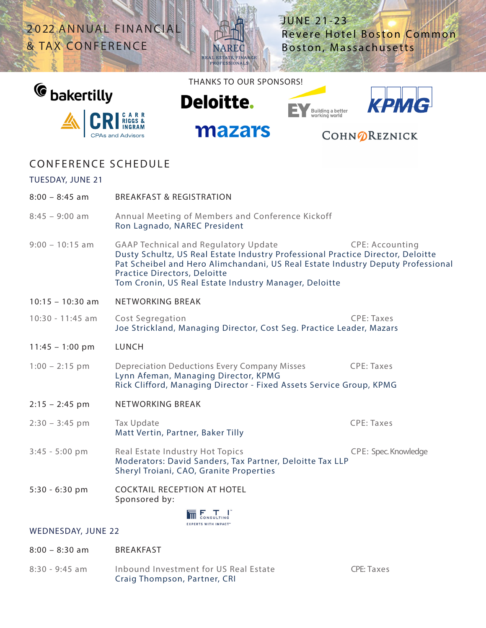2022 ANNUAL FINANCIAL & TAX CONFERENCE

JUNE 21-23 Revere Hotel Boston Common Boston, Massachusetts



THANKS TO OUR SPONSORS!

**Deloitte.** 

mazars

NAREC



**CASE** 



# COHNOREZNICK

## CONFERENCE SCHEDULE

### TUESDAY, JUNE 21

| $8:00 - 8:45$ am          | <b>BREAKFAST &amp; REGISTRATION</b>                                                                                                                                                                                                                                                                                                         |                      |
|---------------------------|---------------------------------------------------------------------------------------------------------------------------------------------------------------------------------------------------------------------------------------------------------------------------------------------------------------------------------------------|----------------------|
| $8:45 - 9:00$ am          | Annual Meeting of Members and Conference Kickoff<br>Ron Lagnado, NAREC President                                                                                                                                                                                                                                                            |                      |
| $9:00 - 10:15$ am         | <b>GAAP Technical and Regulatory Update</b><br><b>CPE: Accounting</b><br>Dusty Schultz, US Real Estate Industry Professional Practice Director, Deloitte<br>Pat Scheibel and Hero Alimchandani, US Real Estate Industry Deputy Professional<br><b>Practice Directors, Deloitte</b><br>Tom Cronin, US Real Estate Industry Manager, Deloitte |                      |
| $10:15 - 10:30$ am        | <b>NETWORKING BREAK</b>                                                                                                                                                                                                                                                                                                                     |                      |
| 10:30 - 11:45 am          | Cost Segregation<br>Joe Strickland, Managing Director, Cost Seg. Practice Leader, Mazars                                                                                                                                                                                                                                                    | <b>CPE: Taxes</b>    |
| $11:45 - 1:00 \text{ pm}$ | <b>LUNCH</b>                                                                                                                                                                                                                                                                                                                                |                      |
| $1:00 - 2:15$ pm          | <b>Depreciation Deductions Every Company Misses</b><br>Lynn Afeman, Managing Director, KPMG<br>Rick Clifford, Managing Director - Fixed Assets Service Group, KPMG                                                                                                                                                                          | <b>CPE: Taxes</b>    |
| $2:15 - 2:45$ pm          | NETWORKING BREAK                                                                                                                                                                                                                                                                                                                            |                      |
| $2:30 - 3:45$ pm          | Tax Update<br>Matt Vertin, Partner, Baker Tilly                                                                                                                                                                                                                                                                                             | <b>CPE: Taxes</b>    |
| $3:45 - 5:00$ pm          | Real Estate Industry Hot Topics<br>Moderators: David Sanders, Tax Partner, Deloitte Tax LLP<br>Sheryl Troiani, CAO, Granite Properties                                                                                                                                                                                                      | CPE: Spec. Knowledge |
| $5:30 - 6:30$ pm          | <b>COCKTAIL RECEPTION AT HOTEL</b><br>Sponsored by:                                                                                                                                                                                                                                                                                         |                      |
|                           | <b>FXPERTS WITH IMPACT</b>                                                                                                                                                                                                                                                                                                                  |                      |
| <b>WEDNESDAY, JUNE 22</b> |                                                                                                                                                                                                                                                                                                                                             |                      |
| $8:00 - 8:30$ am          | <b>BREAKFAST</b>                                                                                                                                                                                                                                                                                                                            |                      |

8:30 - 9:45 am Inbound Investment for US Real Estate CPE: Taxes Craig Thompson, Partner, CRI